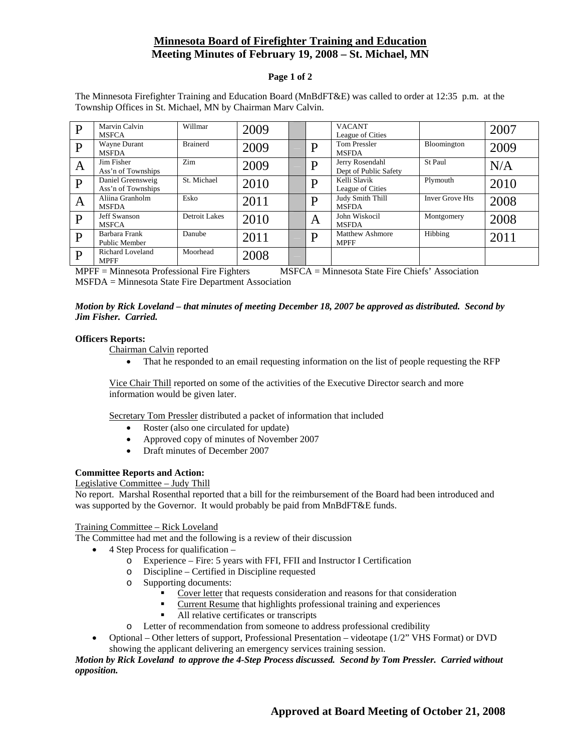# **Minnesota Board of Firefighter Training and Education Meeting Minutes of February 19, 2008 – St. Michael, MN**

## **Page 1 of 2**

| P            | Marvin Calvin<br><b>MSFCA</b>           | Willmar         | 2009 |   | <b>VACANT</b><br>League of Cities        |                        | 2007 |
|--------------|-----------------------------------------|-----------------|------|---|------------------------------------------|------------------------|------|
| $\mathbf{P}$ | Wayne Durant<br><b>MSFDA</b>            | <b>Brainerd</b> | 2009 | D | <b>Tom Pressler</b><br><b>MSFDA</b>      | Bloomington            | 2009 |
| A            | Jim Fisher<br>Ass'n of Townships        | Zim             | 2009 | D | Jerry Rosendahl<br>Dept of Public Safety | St Paul                | N/A  |
| P            | Daniel Greensweig<br>Ass'n of Townships | St. Michael     | 2010 | D | Kelli Slavik<br>League of Cities         | Plymouth               | 2010 |
| A            | Aliina Granholm<br><b>MSFDA</b>         | Esko            | 2011 | D | Judy Smith Thill<br><b>MSFDA</b>         | <b>Inver Grove Hts</b> | 2008 |
| $\mathbf{P}$ | <b>Jeff Swanson</b><br><b>MSFCA</b>     | Detroit Lakes   | 2010 | A | John Wiskocil<br><b>MSFDA</b>            | Montgomery             | 2008 |
| $\mathbf{P}$ | Barbara Frank<br>Public Member          | Danube          | 2011 | D | <b>Matthew Ashmore</b><br><b>MPFF</b>    | Hibbing                | 2011 |
| P            | Richard Loveland<br><b>MPFF</b>         | Moorhead        | 2008 |   |                                          |                        |      |

The Minnesota Firefighter Training and Education Board (MnBdFT&E) was called to order at 12:35 p.m. at the Township Offices in St. Michael, MN by Chairman Marv Calvin.

MPFF = Minnesota Professional Fire Fighters MSFCA = Minnesota State Fire Chiefs' Association MSFDA = Minnesota State Fire Department Association

## *Motion by Rick Loveland – that minutes of meeting December 18, 2007 be approved as distributed. Second by Jim Fisher. Carried.*

#### **Officers Reports:**

Chairman Calvin reported

• That he responded to an email requesting information on the list of people requesting the RFP

Vice Chair Thill reported on some of the activities of the Executive Director search and more information would be given later.

Secretary Tom Pressler distributed a packet of information that included

- Roster (also one circulated for update)
- Approved copy of minutes of November 2007
- Draft minutes of December 2007

## **Committee Reports and Action:**

#### Legislative Committee – Judy Thill

No report. Marshal Rosenthal reported that a bill for the reimbursement of the Board had been introduced and was supported by the Governor. It would probably be paid from MnBdFT&E funds.

## Training Committee – Rick Loveland

The Committee had met and the following is a review of their discussion

- 4 Step Process for qualification
	- o Experience Fire: 5 years with FFI, FFII and Instructor I Certification
	- o Discipline Certified in Discipline requested
	- o Supporting documents:
		- Cover letter that requests consideration and reasons for that consideration
		- Current Resume that highlights professional training and experiences
		- All relative certificates or transcripts
	- o Letter of recommendation from someone to address professional credibility
- Optional Other letters of support, Professional Presentation videotape (1/2" VHS Format) or DVD showing the applicant delivering an emergency services training session.

*Motion by Rick Loveland to approve the 4-Step Process discussed. Second by Tom Pressler. Carried without opposition.*